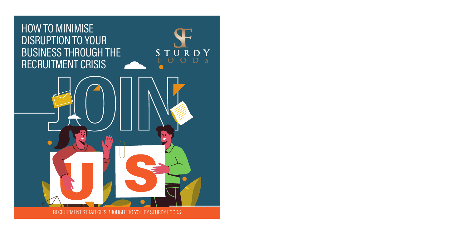## HOW TO MINIMISE DISRUPTION TO YOUR BUSINESS THROUGH THE RECRUITMENT CRISIS





RECRUITMENT STRATEGIES BROUGHT TO YOU BY STURDY FOODS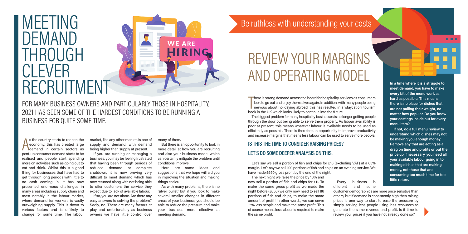# MEETING DEMAND THROUGH CI EVFR RECRUITMENT

BUSINESS FOR QUITE SOME TIME.

s the country starts to reopen the<br>economy, this has created large<br>demand in certain sectors as<br>pent-up consumer demand starts to be s the country starts to reopen the economy, this has created large demand in certain sectors as realised and people start spending more on activities such as going out to eat and drink. Whilst this is a good thing for businesses that have had to get through long periods with little to no cash coming in, it has now presented enormous challenges in many areas including supply chain and most notably in the labour market, where demand for workers is vastly outweighing supply. This is down to various factors and is unlikely to change for some time. The labour

market, like any other market, is one of supply and demand, with demand being higher than supply at present. If you are running or managing a business, you may be feeling frustrated that having been through periods of reduced demand or complete shutdown, it is now proving very difficult to meet demand which has now returned along with not being able to offer customers the service they expect due to lack of available labour. If so, you are not alone. Are there any easy answers to solving the problem? Sadly, no. There are many factors at play and unfortunately as business

FOR MANY BUSINESS OWNERS AND PARTICULARLY THOSE IN HOSPITALITY,

2021 HAS SEEN SOME OF THE HARDEST CONDITIONS TO BE RUNNING A

owners we have little control over

many of them.

But there is an opportunity to look in more detail at how you are recruiting and also your business model which can certainly mitigate the problem until conditions improve.

**WE ARE** 

Here are some ideas and suggestions that we hope will aid you in improving the situation and making things easier.

As with many problems, there is no 'silver bullet' but if you look to make several smaller changes in different areas of your business, you should be able to reduce the pressure and make your business more effective at meeting demand.

## Be ruthless with understanding your costs

# REVIEW YOUR MARGINS AND OPERATING MODEL

There is strong demand across the board for hospitality se<br>look to go out and enjoy themselves again. In addition, with<br>nervous about holidaying abroad, this has resulted in a<br>book in the UK which looks likely to continue There is strong demand across the board for hospitality services as consumers look to go out and enjoy themselves again. In addition, with many people being nervous about holidaying abroad, this has resulted in a 'staycation' tourism

The biggest problem for many hospitality businesses is no longer getting people through the door but being able to serve them properly. As labour availability is poor at present, this means whatever labour is available needs to be used as efficiently as possible. There is therefore an opportunity to improve productivity and increase margins that means less labour can be used to serve more people.

#### **IS THIS THE TIME TO CONSIDER RAISING PRICES? LET'S DO SOME DEEPER ANALYSIS ON THIS.**

Let's say we sell a portion of fish and chips for £10 (excluding VAT) at a 65% margin. Let's say we sell 100 portions of fish and chips on an evening service. We have made £650 gross profit by the end of the night.

The next night we raise the price by 10% and now sell a portion of fish and chips for £11. To make the same gross profit as we made the night before (£650) we only now need to sell 86 portions of fish and chips, to make the same amount of profit! In other words, we can serve 15% less people and make the same profit. This of course means less labour is required to make the same profit.

Every business different and some

customer demographics are more price sensitive than others, but if demand is consistently high then raising prices is one way to start to ease the pressure by simply serving less people using less resources to generate the same revenue and profit. Is it time to review your prices if you have not already done so?

**In a time where it is a struggle to meet demand, you have to make every bit of the menu work as hard as possible. This means there is no place for dishes that are not pulling their weight, no matter how popular. Do you know your costings inside out for every menu item?** 

**ALC: N** 

**If not, do a full menu review to understand which dishes may not be making you enough money. Remove any that are acting as a drag on time and profits or put the price up if necessary, you need all your available labour going in to making dishes that are making money, not those that are consuming too much time for too little return.**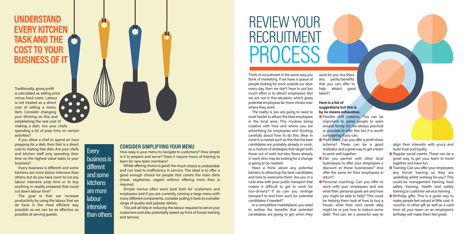## **UNDERSTAND EVERY KITCHEN TASK AND THE COST TO YOUR BUSINESS OF IT**

Traditionally, gross profit is calculated as selling price minus food costs. Labour is not treated as a direct cost of selling a menu item. Consider changing your thinking on this and establishing the real cost of making a dish. Are your chefs spending a lot of prep time on certain activities?

 $\bullet$ 

If you allow a chef to spend an hour prepping for a dish, then that is a direct cost to making that dish. Are your chefs and kitchen staff only spending their time on the highest value tasks to your business?

Every business is different and some kitchens are more labour intensive than others, but do you have room to cut any labour intensive prep time or to buy anything in readily prepared that could cut down labour time?

The goal is that we increase productivity by using the labour that we do have in the most efficient way possible so we can be as effective as possible at serving guests.

### **Every** business is

different and some kitchens are more

labour intensive than others

#### **CONSIDER SIMPLIFYING YOUR MENU**

How easy is your menu to navigate to customers? How simple is it to prepare and serve? Does it require hours of training to learn for new team members?

W

Whilst offering choice is good, too much choice is undesirable and can lead to inefficiency in service. The ideal is to offer a good enough choice for people that covers the main diets (meat, vegetarian, vegan) without offering more than is required.

Simple menus often work best both for customers and employees and if you are currently running a large menu with many different components, consider pulling it back to a smaller range of quality and popular dishes.

This will all help in reducing the labour required to serve your customers and also potentially speed up front of house training and service.

# REVIEW YOUR RECRUITMENT **PROCESS**

Think of recruitment in the same way you think of marketing. If we have a queue of people looking for work outside our door every day, then we don't have to put too much effort in to attract employees. But we are not in this situation, which gives potential employees far more choice over where they work.

The reality is you are going to need to work harder to attract the best employees in the local area. This involves being creative with how and where you are advertising for employees and thinking carefully about how to do this. Bear in mind in a market such as this that the best candidates are probably already in work, so a mixture of strategies that target both those out of work but also those already in work who may be looking for a change is going to be needed.

Have a think about any potential barriers to attracting the best candidates and how to overcome them. Are you in a rural area with poor public transport that makes it difficult to get to work for non-drivers? If so can you arrange transport to and from work for potential candidates if needed?

In a competitive marketplace, you need to outline the benefits that potential candidates are going to get when they work for you. Are there any perks/benefits that you can offer to help attract good talent?

#### **Here is a list of suggestions but this is by no means exhaustive.**

- **•** Flexible shift patterns. This can be important to some people to work around family. It's not always practical or possible to offer this but it is worth considering if you can.
- **•** Profit share. Can you offer a profit share scheme? These can be a good motivator and a great way to get a team to work well together.
- **Can you partner with other local** businesses to offer your employees a discount at those businesses? And offer the same for their employees in return?
- **Personal coaching. Can you offer to** work with your employees and see what their personal goals are and how you might be able to help? This could be helping them look at how to buy a house, what their next career step might be or just how to reduce some debt. This can be a powerful way to

align their interests with yours and build trust and loyalty.

- Regular social events. These can be a great way to get your team to bond together and have fun.
- **Training. Can you offer your employees** any formal training so they are upskilling whilst working for you? This could be management training, food safety training, health and safety training or customer service training.
- **Birthday gifts. This is a great way to** make people feel valued at little cost. A voucher or other gift as well as a card from all your team on an employee's birthday will make them feel great.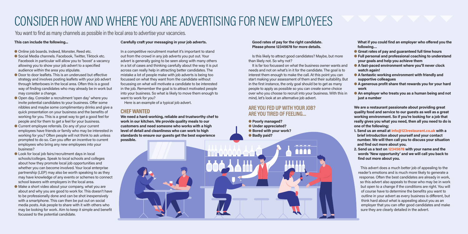## CONSIDER HOW AND WHERE YOU ARE ADVERTISING FOR NEW EMPLOYEES

You want to find as many channels as possible in the local area to advertise your vacancies.

#### **This can include the following...**

#### **Carefully craft your messaging in your job adverts.**

- **Online job boards. Indeed, Monster, Reed etc.**
- Social Media channels. Facebook, Twitter, Tiktock etc. Facebook in particular will allow you to 'boost' a vacancy allowing you to show your job advert to a specified audience within the area you stipulate.
- l Door to door leaflets. This is an underused but effective strategy and involves posting leaflets with your job advert through letterboxes in the local area. Often this is a good way of finding candidates who may already be in work but may consider a change.
- Open day. Consider a recruitment 'open day' where you invite potential candidates to your business. Offer some nibbles and maybe some complimentary drinks and give a quick presentation on your business and the benefits of working for you. This is a great way to get a good feel for people and for them to get a feel for your business.
- l Current employee referrals. Do any of your current employees have friends or family who may be interested in working for you? Often people will not think to ask unless prompted to do so. Can you offer an incentive to current employees who bring any new employees into your business?
- **In Look for local job fairs/recruitment days in local** schools/colleges. Speak to local schools and colleges about how they promote local job opportunities and whether you can become involved. Your local enterprise partnership (LEP) may also be worth speaking to as they may have knowledge of any events or schemes to connect school leavers with employers in the local area.
- l Make a short video about your company, what you are about and why you are good to work for. This doesn't have to be professionally done and can be shot inexpensively with a smartphone. This can then be put out on social media posts. Ask people to share with it with others who may be looking for work. Aim to keep it simple and benefit focussed to the potential candidate.

In a competitive recruitment market it's important to stand out from the crowd in any job adverts you put out. Your advert is generally going to be seen along with many others in a lot of cases and thinking carefully about the way it is put across can really help in attracting better candidates. The mistake a lot of people make with job adverts is being too focussed on what they want from the candidate without focussing on what will motivate a candidate to be interested in the job. Remember the goal is to attract motivated people into your business. So what is likely to move them enough to want to work for you?

Here is an example of a typical job advert.

#### **CHEF WANTED**

**We need a hard-working, reliable and trustworthy chef to work in our kitchen. We provide quality meals to our customers and need someone who works with a high level of detail and cleanliness who can work to high standards to ensure our guests get the best experience possible.**

#### **Good rates of pay for the right candidate. Please phone 12345678 for more details.**

Is this likely to attract good candidates? Maybe, but more than likely not. So why not?

It is far too focussed on what the business owner wants and needs and not on what's in it for the candidate. The goal is to interest them enough to make the call. At this point you can start making your assessment of them and their suitability. But in the first instance, the only goal should be to get as many people to apply as possible so you can create some choice over who you choose to recruit into your business. With this in mind, let's look at an alternative job advert.

#### **ARE YOU FED UP WITH YOUR JOB? ARE YOU TIRED OF FEELING…**

l **Poorly managed?**  $\bullet$  **Under appreciated? e** Bored with your work?  $\bullet$  **Badly paid?** 

**What if you could find an employer who offered you the following…**

- **Calce 6 Great rates of pay and quaranteed full time hours**
- l **Full personal and professional coaching to understand your goals and help you achieve them**
- l **A fast-paced environment where you'll never clock watch again!**
- **A** fantastic working environment with friendly and **supportive colleagues**
- **A generous profit share that rewards you for your hard work**
- **An employer who treats you as a human being and not just a number**

**We are a restaurant passionate about providing great quality food and service to our guests as well as a great working environment. So if you're looking for a job that really gives you what you need, then all you need to do is one of the following;**

- **1. Send us an email at info@123restaurant.co.uk with a brief introduction about yourself and your contact number. We will then call you to discuss your situation and find out more about you.**
- **2. Send us a text on 12345678 with your name and the words 'New opportunity' and we will call you back to find out more about you.**

This advert does a much better job of appealing to the reader's emotions and is much more likely to generate a response. Often the best candidates are already in work, so this advert also appeals to those who may be in work but open to a change if the conditions are right. You will of course have to determine the benefits you want to outline in your advert as every business is different, but think hard about what is appealing about you as an employer that you can offer good candidates and make sure they are clearly detailed in the advert.